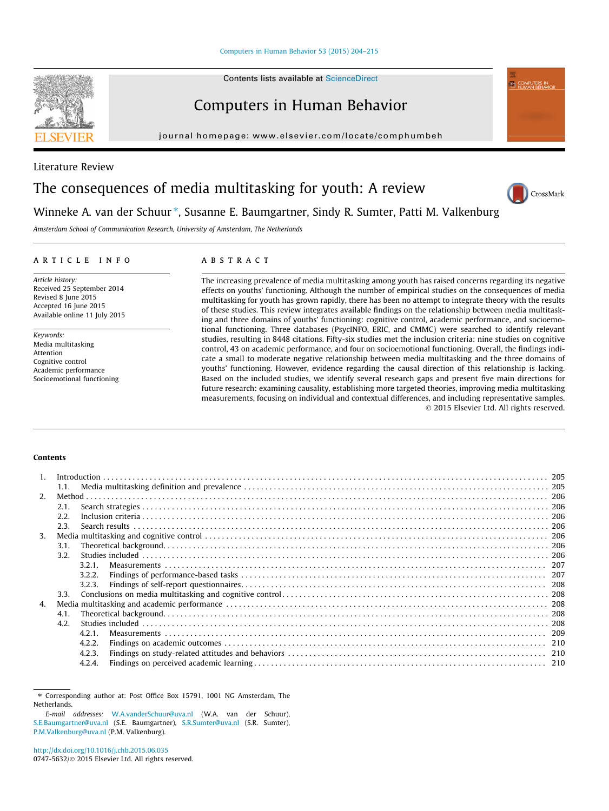#### [Computers in Human Behavior 53 \(2015\) 204–215](http://dx.doi.org/10.1016/j.chb.2015.06.035)

Contents lists available at [ScienceDirect](http://www.sciencedirect.com/science/journal/07475632)

# Computers in Human Behavior

journal homepage: [www.elsevier.com/locate/comphumbeh](http://www.elsevier.com/locate/comphumbeh)

# The consequences of media multitasking for youth: A review

Winneke A. van der Schuur\*, Susanne E. Baumgartner, Sindy R. Sumter, Patti M. Valkenburg

Amsterdam School of Communication Research, University of Amsterdam, The Netherlands

#### article info

Article history: Received 25 September 2014 Revised 8 June 2015 Accepted 16 June 2015 Available online 11 July 2015

Keywords: Media multitasking Attention Cognitive control Academic performance Socioemotional functioning

# **ABSTRACT**

The increasing prevalence of media multitasking among youth has raised concerns regarding its negative effects on youths' functioning. Although the number of empirical studies on the consequences of media multitasking for youth has grown rapidly, there has been no attempt to integrate theory with the results of these studies. This review integrates available findings on the relationship between media multitasking and three domains of youths' functioning: cognitive control, academic performance, and socioemotional functioning. Three databases (PsycINFO, ERIC, and CMMC) were searched to identify relevant studies, resulting in 8448 citations. Fifty-six studies met the inclusion criteria: nine studies on cognitive control, 43 on academic performance, and four on socioemotional functioning. Overall, the findings indicate a small to moderate negative relationship between media multitasking and the three domains of youths' functioning. However, evidence regarding the causal direction of this relationship is lacking. Based on the included studies, we identify several research gaps and present five main directions for future research: examining causality, establishing more targeted theories, improving media multitasking measurements, focusing on individual and contextual differences, and including representative samples. - 2015 Elsevier Ltd. All rights reserved.

#### Contents

| 1.               |      | $Introduction \dots 205$ |
|------------------|------|--------------------------|
|                  | 1.1. |                          |
| $2^{\circ}$      |      |                          |
|                  | 2.1. |                          |
|                  | 2.2. |                          |
|                  | 2.3. |                          |
| $\overline{3}$ . |      |                          |
|                  | 3.1. |                          |
|                  | 3.2. |                          |
|                  |      | 3.2.1.                   |
|                  |      | 3.2.2.                   |
|                  |      | 3.2.3.                   |
|                  | 3.3. |                          |
| 4.               |      |                          |
|                  | 4.1. |                          |
|                  | 4.2. |                          |
|                  |      | 4.2.1.                   |
|                  |      | 4.2.2.                   |
|                  |      | 4.2.3.                   |
|                  |      | 4.2.4.                   |

⇑ Corresponding author at: Post Office Box 15791, 1001 NG Amsterdam, The Netherlands.



Literature Review



CrossMark

E-mail addresses: [W.A.vanderSchuur@uva.nl](mailto:W.A.vanderSchuur@uva.nl) (W.A. van der Schuur), [S.E.Baumgartner@uva.nl](mailto:S.E.Baumgartner@uva.nl) (S.E. Baumgartner), [S.R.Sumter@uva.nl](mailto:S.R.Sumter@uva.nl) (S.R. Sumter), [P.M.Valkenburg@uva.nl](mailto:P.M.Valkenburg@uva.nl) (P.M. Valkenburg).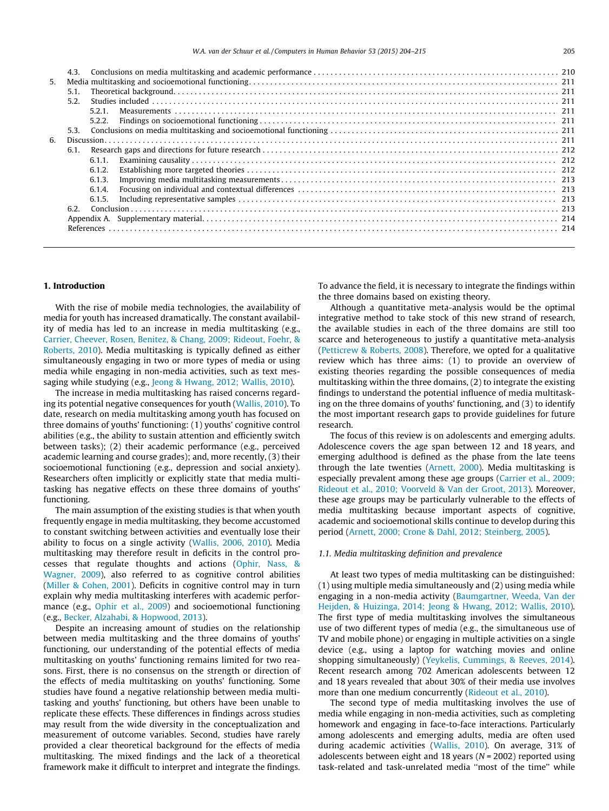|                | 4.3. |                                                                                                                |  |
|----------------|------|----------------------------------------------------------------------------------------------------------------|--|
| 5 <sub>1</sub> |      |                                                                                                                |  |
|                | 5.1. |                                                                                                                |  |
|                | 5.2. | 211 . 211 . 211 . 211 . 211 . 211 . 211 . 212 . 213 . 214 . 215 . 216 . 217 . 217 . 217 . 217 . 217 . 217 . 21 |  |
|                |      | 5.2.1                                                                                                          |  |
|                |      | 5.2.2.                                                                                                         |  |
|                | 5.3. |                                                                                                                |  |
| 6.             |      |                                                                                                                |  |
|                | 6.1. |                                                                                                                |  |
|                |      | 6.1.1                                                                                                          |  |
|                |      | 6.1.2.                                                                                                         |  |
|                |      | 6.1.3.                                                                                                         |  |
|                |      | 6.1.4.                                                                                                         |  |
|                |      | 6.1.5.                                                                                                         |  |
|                | 6.2. |                                                                                                                |  |
|                |      |                                                                                                                |  |
|                |      |                                                                                                                |  |
|                |      |                                                                                                                |  |

#### 1. Introduction

With the rise of mobile media technologies, the availability of media for youth has increased dramatically. The constant availability of media has led to an increase in media multitasking (e.g., [Carrier, Cheever, Rosen, Benitez, & Chang, 2009; Rideout, Foehr, &](#page-10-0) [Roberts, 2010](#page-10-0)). Media multitasking is typically defined as either simultaneously engaging in two or more types of media or using media while engaging in non-media activities, such as text messaging while studying (e.g., [Jeong & Hwang, 2012; Wallis, 2010\)](#page-10-0).

The increase in media multitasking has raised concerns regarding its potential negative consequences for youth ([Wallis, 2010\)](#page-11-0). To date, research on media multitasking among youth has focused on three domains of youths' functioning: (1) youths' cognitive control abilities (e.g., the ability to sustain attention and efficiently switch between tasks); (2) their academic performance (e.g., perceived academic learning and course grades); and, more recently, (3) their socioemotional functioning (e.g., depression and social anxiety). Researchers often implicitly or explicitly state that media multitasking has negative effects on these three domains of youths' functioning.

The main assumption of the existing studies is that when youth frequently engage in media multitasking, they become accustomed to constant switching between activities and eventually lose their ability to focus on a single activity [\(Wallis, 2006, 2010](#page-11-0)). Media multitasking may therefore result in deficits in the control processes that regulate thoughts and actions [\(Ophir, Nass, &](#page-11-0) [Wagner, 2009](#page-11-0)), also referred to as cognitive control abilities ([Miller & Cohen, 2001](#page-11-0)). Deficits in cognitive control may in turn explain why media multitasking interferes with academic performance (e.g., [Ophir et al., 2009\)](#page-11-0) and socioemotional functioning (e.g., [Becker, Alzahabi, & Hopwood, 2013\)](#page-10-0).

Despite an increasing amount of studies on the relationship between media multitasking and the three domains of youths' functioning, our understanding of the potential effects of media multitasking on youths' functioning remains limited for two reasons. First, there is no consensus on the strength or direction of the effects of media multitasking on youths' functioning. Some studies have found a negative relationship between media multitasking and youths' functioning, but others have been unable to replicate these effects. These differences in findings across studies may result from the wide diversity in the conceptualization and measurement of outcome variables. Second, studies have rarely provided a clear theoretical background for the effects of media multitasking. The mixed findings and the lack of a theoretical framework make it difficult to interpret and integrate the findings. To advance the field, it is necessary to integrate the findings within the three domains based on existing theory.

Although a quantitative meta-analysis would be the optimal integrative method to take stock of this new strand of research, the available studies in each of the three domains are still too scarce and heterogeneous to justify a quantitative meta-analysis ([Petticrew & Roberts, 2008](#page-11-0)). Therefore, we opted for a qualitative review which has three aims: (1) to provide an overview of existing theories regarding the possible consequences of media multitasking within the three domains, (2) to integrate the existing findings to understand the potential influence of media multitasking on the three domains of youths' functioning, and (3) to identify the most important research gaps to provide guidelines for future research.

The focus of this review is on adolescents and emerging adults. Adolescence covers the age span between 12 and 18 years, and emerging adulthood is defined as the phase from the late teens through the late twenties ([Arnett, 2000](#page-10-0)). Media multitasking is especially prevalent among these age groups ([Carrier et al., 2009;](#page-10-0) [Rideout et al., 2010; Voorveld & Van der Groot, 2013](#page-10-0)). Moreover, these age groups may be particularly vulnerable to the effects of media multitasking because important aspects of cognitive, academic and socioemotional skills continue to develop during this period ([Arnett, 2000; Crone & Dahl, 2012; Steinberg, 2005](#page-10-0)).

#### 1.1. Media multitasking definition and prevalence

At least two types of media multitasking can be distinguished: (1) using multiple media simultaneously and (2) using media while engaging in a non-media activity [\(Baumgartner, Weeda, Van der](#page-10-0) [Heijden, & Huizinga, 2014; Jeong & Hwang, 2012; Wallis, 2010\)](#page-10-0). The first type of media multitasking involves the simultaneous use of two different types of media (e.g., the simultaneous use of TV and mobile phone) or engaging in multiple activities on a single device (e.g., using a laptop for watching movies and online shopping simultaneously) ([Yeykelis, Cummings, & Reeves, 2014\)](#page-11-0). Recent research among 702 American adolescents between 12 and 18 years revealed that about 30% of their media use involves more than one medium concurrently [\(Rideout et al., 2010](#page-11-0)).

The second type of media multitasking involves the use of media while engaging in non-media activities, such as completing homework and engaging in face-to-face interactions. Particularly among adolescents and emerging adults, media are often used during academic activities [\(Wallis, 2010\)](#page-11-0). On average, 31% of adolescents between eight and 18 years ( $N = 2002$ ) reported using task-related and task-unrelated media ''most of the time'' while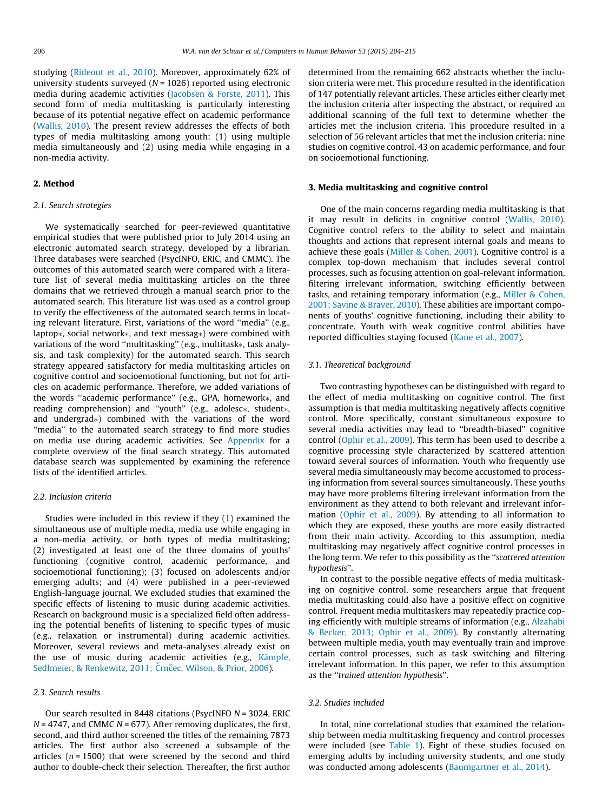studying [\(Rideout et al., 2010](#page-11-0)). Moreover, approximately 62% of university students surveyed  $(N = 1026)$  reported using electronic media during academic activities [\(Jacobsen & Forste, 2011\)](#page-10-0). This second form of media multitasking is particularly interesting because of its potential negative effect on academic performance ([Wallis, 2010\)](#page-11-0). The present review addresses the effects of both types of media multitasking among youth: (1) using multiple media simultaneously and (2) using media while engaging in a non-media activity.

# 2. Method

# 2.1. Search strategies

We systematically searched for peer-reviewed quantitative empirical studies that were published prior to July 2014 using an electronic automated search strategy, developed by a librarian. Three databases were searched (PsycINFO, ERIC, and CMMC). The outcomes of this automated search were compared with a literature list of several media multitasking articles on the three domains that we retrieved through a manual search prior to the automated search. This literature list was used as a control group to verify the effectiveness of the automated search terms in locating relevant literature. First, variations of the word "media" (e.g., laptop $*$ , social network $*$ , and text messag $*$ ) were combined with variations of the word "multitasking" (e.g., multitask\*, task analysis, and task complexity) for the automated search. This search strategy appeared satisfactory for media multitasking articles on cognitive control and socioemotional functioning, but not for articles on academic performance. Therefore, we added variations of the words "academic performance" (e.g., GPA, homework\*, and reading comprehension) and "youth" (e.g., adolesc\*, student\*, and undergrad⁄) combined with the variations of the word ''media'' to the automated search strategy to find more studies on media use during academic activities. See Appendix for a complete overview of the final search strategy. This automated database search was supplemented by examining the reference lists of the identified articles.

#### 2.2. Inclusion criteria

Studies were included in this review if they (1) examined the simultaneous use of multiple media, media use while engaging in a non-media activity, or both types of media multitasking; (2) investigated at least one of the three domains of youths' functioning (cognitive control, academic performance, and socioemotional functioning); (3) focused on adolescents and/or emerging adults; and (4) were published in a peer-reviewed English-language journal. We excluded studies that examined the specific effects of listening to music during academic activities. Research on background music is a specialized field often addressing the potential benefits of listening to specific types of music (e.g., relaxation or instrumental) during academic activities. Moreover, several reviews and meta-analyses already exist on the use of music during academic activities (e.g., [Kämpfe,](#page-10-0) Sedlmeier, & Renkewitz, 2011; Črnčec, Wilson, & Prior, 2006).

# 2.3. Search results

Our search resulted in 8448 citations (PsycINFO  $N = 3024$ , ERIC  $N = 4747$ , and CMMC  $N = 677$ ). After removing duplicates, the first, second, and third author screened the titles of the remaining 7873 articles. The first author also screened a subsample of the articles ( $n = 1500$ ) that were screened by the second and third author to double-check their selection. Thereafter, the first author determined from the remaining 662 abstracts whether the inclusion criteria were met. This procedure resulted in the identification of 147 potentially relevant articles. These articles either clearly met the inclusion criteria after inspecting the abstract, or required an additional scanning of the full text to determine whether the articles met the inclusion criteria. This procedure resulted in a selection of 56 relevant articles that met the inclusion criteria: nine studies on cognitive control, 43 on academic performance, and four on socioemotional functioning.

#### 3. Media multitasking and cognitive control

One of the main concerns regarding media multitasking is that it may result in deficits in cognitive control ([Wallis, 2010\)](#page-11-0). Cognitive control refers to the ability to select and maintain thoughts and actions that represent internal goals and means to achieve these goals ([Miller & Cohen, 2001](#page-11-0)). Cognitive control is a complex top-down mechanism that includes several control processes, such as focusing attention on goal-relevant information, filtering irrelevant information, switching efficiently between tasks, and retaining temporary information (e.g., [Miller & Cohen,](#page-11-0) [2001; Savine & Braver, 2010](#page-11-0)). These abilities are important components of youths' cognitive functioning, including their ability to concentrate. Youth with weak cognitive control abilities have reported difficulties staying focused [\(Kane et al., 2007](#page-10-0)).

#### 3.1. Theoretical background

Two contrasting hypotheses can be distinguished with regard to the effect of media multitasking on cognitive control. The first assumption is that media multitasking negatively affects cognitive control. More specifically, constant simultaneous exposure to several media activities may lead to ''breadth-biased'' cognitive control [\(Ophir et al., 2009](#page-11-0)). This term has been used to describe a cognitive processing style characterized by scattered attention toward several sources of information. Youth who frequently use several media simultaneously may become accustomed to processing information from several sources simultaneously. These youths may have more problems filtering irrelevant information from the environment as they attend to both relevant and irrelevant information ([Ophir et al., 2009\)](#page-11-0). By attending to all information to which they are exposed, these youths are more easily distracted from their main activity. According to this assumption, media multitasking may negatively affect cognitive control processes in the long term. We refer to this possibility as the ''scattered attention hypothesis''.

In contrast to the possible negative effects of media multitasking on cognitive control, some researchers argue that frequent media multitasking could also have a positive effect on cognitive control. Frequent media multitaskers may repeatedly practice coping efficiently with multiple streams of information (e.g., [Alzahabi](#page-10-0) [& Becker, 2013; Ophir et al., 2009](#page-10-0)). By constantly alternating between multiple media, youth may eventually train and improve certain control processes, such as task switching and filtering irrelevant information. In this paper, we refer to this assumption as the ''trained attention hypothesis''.

#### 3.2. Studies included

In total, nine correlational studies that examined the relationship between media multitasking frequency and control processes were included (see [Table 1](#page-3-0)). Eight of these studies focused on emerging adults by including university students, and one study was conducted among adolescents [\(Baumgartner et al., 2014](#page-10-0)).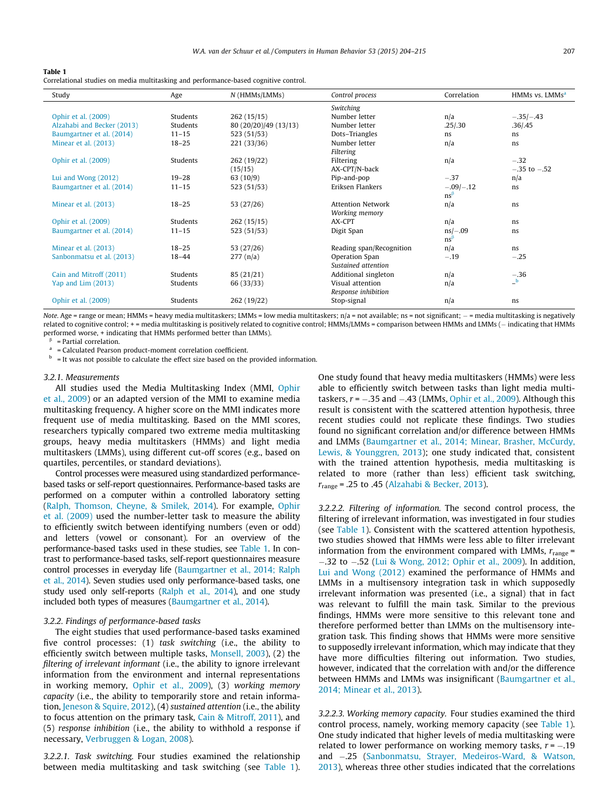<span id="page-3-0"></span>

| Table 1                                                                              |
|--------------------------------------------------------------------------------------|
| Correlational studies on media multitasking and performance-based cognitive control. |

| Study                      | Age       | $N$ (HMMs/LMMs)       | Control process          | Correlation         | HMMs vs. LMMs <sup>a</sup> |
|----------------------------|-----------|-----------------------|--------------------------|---------------------|----------------------------|
|                            |           |                       | Switching                |                     |                            |
| Ophir et al. (2009)        | Students  | 262(15/15)            | Number letter            | n/a                 | $-.35$ $-.43$              |
| Alzahabi and Becker (2013) | Students  | 80 (20/20)/49 (13/13) | Number letter            | .25/.30             | .36/0.45                   |
| Baumgartner et al. (2014)  | $11 - 15$ | 523 (51/53)           | Dots-Triangles           | ns                  | <sub>ns</sub>              |
| Minear et al. (2013)       | $18 - 25$ | 221 (33/36)           | Number letter            | n/a                 | <sub>ns</sub>              |
|                            |           |                       | Filtering                |                     |                            |
| Ophir et al. (2009)        | Students  | 262 (19/22)           | Filtering                | n/a                 | $-.32$                     |
|                            |           | (15/15)               | AX-CPT/N-back            |                     | $-.35$ to $-.52$           |
| Lui and Wong $(2012)$      | $19 - 28$ | 63(10/9)              | Pip-and-pop              | $-.37$              | n/a                        |
| Baumgartner et al. (2014)  | $11 - 15$ | 523 (51/53)           | Eriksen Flankers         | $-.09$ / $-.12$     | ns                         |
|                            |           |                       |                          | $\text{ns}^{\beta}$ |                            |
| Minear et al. (2013)       | $18 - 25$ | 53 (27/26)            | <b>Attention Network</b> | n/a                 | ns                         |
|                            |           |                       | Working memory           |                     |                            |
| Ophir et al. (2009)        | Students  | 262(15/15)            | AX-CPT                   | n/a                 | <sub>ns</sub>              |
| Baumgartner et al. (2014)  | $11 - 15$ | 523 (51/53)           | Digit Span               | $ns/-.09$           | ns                         |
|                            |           |                       |                          | $ns^{\beta}$        |                            |
| Minear et al. (2013)       | $18 - 25$ | 53 (27/26)            | Reading span/Recognition | n/a                 | ns                         |
| Sanbonmatsu et al. (2013)  | $18 - 44$ | 277(n/a)              | Operation Span           | $-.19$              | $-.25$                     |
|                            |           |                       | Sustained attention      |                     |                            |
| Cain and Mitroff (2011)    | Students  | 85 (21/21)            | Additional singleton     | n/a                 | $-.36$                     |
| Yap and Lim (2013)         | Students  | 66 (33/33)            | Visual attention         | n/a                 | $\mathbf{-}^{\mathbf{b}}$  |
|                            |           |                       | Response inhibition      |                     |                            |
| Ophir et al. (2009)        | Students  | 262 (19/22)           | Stop-signal              | n/a                 | ns                         |

Note. Age = range or mean; HMMs = heavy media multitaskers; LMMs = low media multitaskers; n/a = not available; ns = not significant; – = media multitasking is negatively related to cognitive control; + = media multitasking is positively related to cognitive control; HMMs/LMMs = comparison between HMMs and LMMs (- indicating that HMMs performed worse, + indicating that HMMs performed better than LMMs).

 $=$  Partial correlation.

<sup>a</sup> = Calculated Pearson product-moment correlation coefficient.

 $b =$ It was not possible to calculate the effect size based on the provided information.

#### 3.2.1. Measurements

All studies used the Media Multitasking Index (MMI, [Ophir](#page-11-0) [et al., 2009](#page-11-0)) or an adapted version of the MMI to examine media multitasking frequency. A higher score on the MMI indicates more frequent use of media multitasking. Based on the MMI scores, researchers typically compared two extreme media multitasking groups, heavy media multitaskers (HMMs) and light media multitaskers (LMMs), using different cut-off scores (e.g., based on quartiles, percentiles, or standard deviations).

Control processes were measured using standardized performancebased tasks or self-report questionnaires. Performance-based tasks are performed on a computer within a controlled laboratory setting ([Ralph, Thomson, Cheyne, & Smilek, 2014](#page-11-0)). For example, [Ophir](#page-11-0) [et al. \(2009\)](#page-11-0) used the number-letter task to measure the ability to efficiently switch between identifying numbers (even or odd) and letters (vowel or consonant). For an overview of the performance-based tasks used in these studies, see Table 1. In contrast to performance-based tasks, self-report questionnaires measure control processes in everyday life [\(Baumgartner et al., 2014; Ralph](#page-10-0) [et al., 2014\)](#page-10-0). Seven studies used only performance-based tasks, one study used only self-reports [\(Ralph et al., 2014](#page-11-0)), and one study included both types of measures [\(Baumgartner et al., 2014\)](#page-10-0).

#### 3.2.2. Findings of performance-based tasks

The eight studies that used performance-based tasks examined five control processes: (1) task switching (i.e., the ability to efficiently switch between multiple tasks, [Monsell, 2003\)](#page-11-0), (2) the filtering of irrelevant informant (i.e., the ability to ignore irrelevant information from the environment and internal representations in working memory, [Ophir et al., 2009](#page-11-0)), (3) working memory capacity (i.e., the ability to temporarily store and retain information, [Jeneson & Squire, 2012](#page-10-0)), (4) sustained attention (i.e., the ability to focus attention on the primary task, [Cain & Mitroff, 2011\)](#page-10-0), and (5) response inhibition (i.e., the ability to withhold a response if necessary, [Verbruggen & Logan, 2008\)](#page-11-0).

3.2.2.1. Task switching. Four studies examined the relationship between media multitasking and task switching (see Table 1). One study found that heavy media multitaskers (HMMs) were less able to efficiently switch between tasks than light media multitaskers, *r* = –.35 and –.43 (LMMs, [Ophir et al., 2009\)](#page-11-0). Although this result is consistent with the scattered attention hypothesis, three recent studies could not replicate these findings. Two studies found no significant correlation and/or difference between HMMs and LMMs [\(Baumgartner et al., 2014; Minear, Brasher, McCurdy,](#page-10-0) [Lewis, & Younggren, 2013](#page-10-0)); one study indicated that, consistent with the trained attention hypothesis, media multitasking is related to more (rather than less) efficient task switching,  $r_{\text{range}}$  = .25 to .45 [\(Alzahabi & Becker, 2013\)](#page-10-0).

3.2.2.2. Filtering of information. The second control process, the filtering of irrelevant information, was investigated in four studies (see Table 1). Consistent with the scattered attention hypothesis, two studies showed that HMMs were less able to filter irrelevant information from the environment compared with LMMs,  $r_{\text{range}} =$ -.32 to -.52 [\(Lui & Wong, 2012; Ophir et al., 2009\)](#page-11-0). In addition, [Lui and Wong \(2012\)](#page-11-0) examined the performance of HMMs and LMMs in a multisensory integration task in which supposedly irrelevant information was presented (i.e., a signal) that in fact was relevant to fulfill the main task. Similar to the previous findings, HMMs were more sensitive to this relevant tone and therefore performed better than LMMs on the multisensory integration task. This finding shows that HMMs were more sensitive to supposedly irrelevant information, which may indicate that they have more difficulties filtering out information. Two studies, however, indicated that the correlation with and/or the difference between HMMs and LMMs was insignificant [\(Baumgartner et al.,](#page-10-0) [2014; Minear et al., 2013\)](#page-10-0).

3.2.2.3. Working memory capacity. Four studies examined the third control process, namely, working memory capacity (see Table 1). One study indicated that higher levels of media multitasking were related to lower performance on working memory tasks,  $r = -.19$ and -.25 ([Sanbonmatsu, Strayer, Medeiros-Ward, & Watson,](#page-11-0) [2013](#page-11-0)), whereas three other studies indicated that the correlations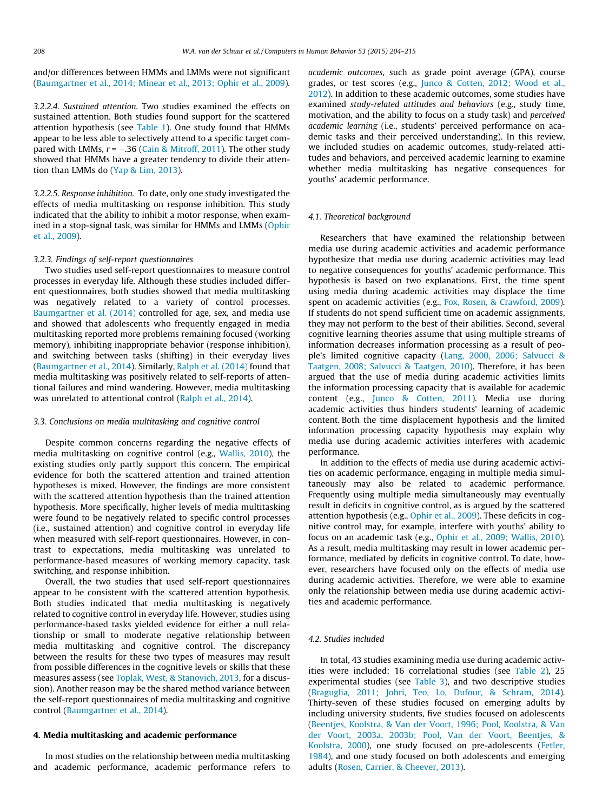and/or differences between HMMs and LMMs were not significant ([Baumgartner et al., 2014; Minear et al., 2013; Ophir et al., 2009\)](#page-10-0).

3.2.2.4. Sustained attention. Two studies examined the effects on sustained attention. Both studies found support for the scattered attention hypothesis (see [Table 1\)](#page-3-0). One study found that HMMs appear to be less able to selectively attend to a specific target com-pared with LMMs, r = –.36 [\(Cain & Mitroff, 2011](#page-10-0)). The other study showed that HMMs have a greater tendency to divide their attention than LMMs do [\(Yap & Lim, 2013\)](#page-11-0).

3.2.2.5. Response inhibition. To date, only one study investigated the effects of media multitasking on response inhibition. This study indicated that the ability to inhibit a motor response, when examined in a stop-signal task, was similar for HMMs and LMMs [\(Ophir](#page-11-0) [et al., 2009\)](#page-11-0).

#### 3.2.3. Findings of self-report questionnaires

Two studies used self-report questionnaires to measure control processes in everyday life. Although these studies included different questionnaires, both studies showed that media multitasking was negatively related to a variety of control processes. [Baumgartner et al. \(2014\)](#page-10-0) controlled for age, sex, and media use and showed that adolescents who frequently engaged in media multitasking reported more problems remaining focused (working memory), inhibiting inappropriate behavior (response inhibition), and switching between tasks (shifting) in their everyday lives ([Baumgartner et al., 2014](#page-10-0)). Similarly, [Ralph et al. \(2014\)](#page-11-0) found that media multitasking was positively related to self-reports of attentional failures and mind wandering. However, media multitasking was unrelated to attentional control [\(Ralph et al., 2014](#page-11-0)).

#### 3.3. Conclusions on media multitasking and cognitive control

Despite common concerns regarding the negative effects of media multitasking on cognitive control (e.g., [Wallis, 2010\)](#page-11-0), the existing studies only partly support this concern. The empirical evidence for both the scattered attention and trained attention hypotheses is mixed. However, the findings are more consistent with the scattered attention hypothesis than the trained attention hypothesis. More specifically, higher levels of media multitasking were found to be negatively related to specific control processes (i.e., sustained attention) and cognitive control in everyday life when measured with self-report questionnaires. However, in contrast to expectations, media multitasking was unrelated to performance-based measures of working memory capacity, task switching, and response inhibition.

Overall, the two studies that used self-report questionnaires appear to be consistent with the scattered attention hypothesis. Both studies indicated that media multitasking is negatively related to cognitive control in everyday life. However, studies using performance-based tasks yielded evidence for either a null relationship or small to moderate negative relationship between media multitasking and cognitive control. The discrepancy between the results for these two types of measures may result from possible differences in the cognitive levels or skills that these measures assess (see [Toplak, West, & Stanovich, 2013,](#page-11-0) for a discussion). Another reason may be the shared method variance between the self-report questionnaires of media multitasking and cognitive control [\(Baumgartner et al., 2014](#page-10-0)).

# 4. Media multitasking and academic performance

In most studies on the relationship between media multitasking and academic performance, academic performance refers to academic outcomes, such as grade point average (GPA), course grades, or test scores (e.g., [Junco & Cotten, 2012; Wood et al.,](#page-10-0) [2012\)](#page-10-0). In addition to these academic outcomes, some studies have examined study-related attitudes and behaviors (e.g., study time, motivation, and the ability to focus on a study task) and perceived academic learning (i.e., students' perceived performance on academic tasks and their perceived understanding). In this review, we included studies on academic outcomes, study-related attitudes and behaviors, and perceived academic learning to examine whether media multitasking has negative consequences for youths' academic performance.

# 4.1. Theoretical background

Researchers that have examined the relationship between media use during academic activities and academic performance hypothesize that media use during academic activities may lead to negative consequences for youths' academic performance. This hypothesis is based on two explanations. First, the time spent using media during academic activities may displace the time spent on academic activities (e.g., [Fox, Rosen, & Crawford, 2009\)](#page-10-0). If students do not spend sufficient time on academic assignments, they may not perform to the best of their abilities. Second, several cognitive learning theories assume that using multiple streams of information decreases information processing as a result of people's limited cognitive capacity ([Lang, 2000, 2006; Salvucci &](#page-11-0) [Taatgen, 2008; Salvucci & Taatgen, 2010](#page-11-0)). Therefore, it has been argued that the use of media during academic activities limits the information processing capacity that is available for academic content (e.g., [Junco & Cotten, 2011\)](#page-10-0). Media use during academic activities thus hinders students' learning of academic content. Both the time displacement hypothesis and the limited information processing capacity hypothesis may explain why media use during academic activities interferes with academic performance.

In addition to the effects of media use during academic activities on academic performance, engaging in multiple media simultaneously may also be related to academic performance. Frequently using multiple media simultaneously may eventually result in deficits in cognitive control, as is argued by the scattered attention hypothesis (e.g., [Ophir et al., 2009](#page-11-0)). These deficits in cognitive control may, for example, interfere with youths' ability to focus on an academic task (e.g., [Ophir et al., 2009; Wallis, 2010\)](#page-11-0). As a result, media multitasking may result in lower academic performance, mediated by deficits in cognitive control. To date, however, researchers have focused only on the effects of media use during academic activities. Therefore, we were able to examine only the relationship between media use during academic activities and academic performance.

# 4.2. Studies included

In total, 43 studies examining media use during academic activities were included: 16 correlational studies (see [Table 2\)](#page-5-0), 25 experimental studies (see [Table 3\)](#page-5-0), and two descriptive studies ([Braguglia, 2011; Johri, Teo, Lo, Dufour, & Schram, 2014\)](#page-10-0). Thirty-seven of these studies focused on emerging adults by including university students, five studies focused on adolescents ([Beentjes, Koolstra, & Van der Voort, 1996; Pool, Koolstra, & Van](#page-10-0) [der Voort, 2003a, 2003b; Pool, Van der Voort, Beentjes, &](#page-10-0) [Koolstra, 2000\)](#page-10-0), one study focused on pre-adolescents [\(Fetler,](#page-10-0) [1984\)](#page-10-0), and one study focused on both adolescents and emerging adults ([Rosen, Carrier, & Cheever, 2013](#page-11-0)).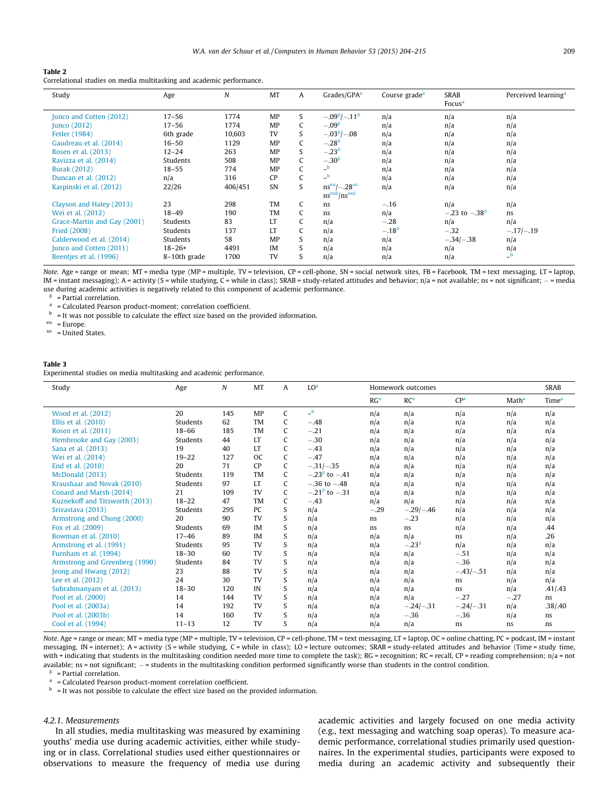#### <span id="page-5-0"></span>Table 2

Correlational studies on media multitasking and academic performance.

| Study                       | Age          | N       | MT        | A  | Grades/GPA <sup>a</sup>     | Course grade <sup>a</sup> | <b>SRAB</b><br>Focus <sup>a</sup> | Perceived learning <sup>a</sup> |
|-----------------------------|--------------|---------|-----------|----|-----------------------------|---------------------------|-----------------------------------|---------------------------------|
| Junco and Cotten (2012)     | $17 - 56$    | 1774    | MP        | S  | $-.09^{\beta}/-.11^{\beta}$ | n/a                       | n/a                               | n/a                             |
| Junco (2012)                | $17 - 56$    | 1774    | <b>MP</b> | C  | $-.09\beta$                 | n/a                       | n/a                               | n/a                             |
| Fetler (1984)               | 6th grade    | 10,603  | TV        | S. | $-.03^{\beta}$ / $-.08$     | n/a                       | n/a                               | n/a                             |
| Gaudreau et al. (2014)      | $16 - 50$    | 1129    | <b>MP</b> | C  | $-.28^{\beta}$              | n/a                       | n/a                               | n/a                             |
| Rosen et al. (2013)         | $12 - 24$    | 263     | MP        | S  | $-.23^{\beta}$              | n/a                       | n/a                               | n/a                             |
| Ravizza et al. (2014)       | Students     | 508     | <b>MP</b> | C  | $-.30^{\beta}$              | n/a                       | n/a                               | n/a                             |
| <b>Burak (2012)</b>         | $18 - 55$    | 774     | <b>MP</b> | C  | b                           | n/a                       | n/a                               | n/a                             |
| Duncan et al. (2012)        | n/a          | 316     | <b>CP</b> | C  | $-$ b                       | n/a                       | n/a                               | n/a                             |
| Karpinski et al. (2012)     | 22/26        | 406/451 | SN        | S. | $nseu$ /-.28 $us$           | n/a                       | n/a                               | n/a                             |
|                             |              |         |           |    | $ns^{eu\beta}/ns^{us\beta}$ |                           |                                   |                                 |
| Clayson and Haley (2013)    | 23           | 298     | TM        | C  | ns                          | $-.16$                    | n/a                               | n/a                             |
| Wei et al. (2012)           | $18 - 49$    | 190     | TM        | C  | ns                          | n/a                       | $-.23$ to $-.38^{\circ}$          | ns                              |
| Grace-Martin and Gay (2001) | Students     | 83      | LT        | C  | n/a                         | $-.28$                    | n/a                               | n/a                             |
| <b>Fried (2008)</b>         | Students     | 137     | <b>LT</b> | C  | n/a                         | $-.18\beta$               | $-.32$                            | $-.17$ $-.19$                   |
| Calderwood et al. (2014)    | Students     | 58      | <b>MP</b> | S. | n/a                         | n/a                       | $-.34$ $-.38$                     | n/a                             |
| Junco and Cotten (2011)     | $18 - 26+$   | 4491    | IM        | S. | n/a                         | n/a                       | n/a                               | n/a                             |
| Beentjes et al. (1996)      | 8-10th grade | 1700    | TV        | S  | n/a                         | n/a                       | n/a                               | $\mathbf{b}$                    |

Note. Age = range or mean; MT = media type (MP = multiple, TV = television, CP = cell-phone, SN = social network sites, FB = Facebook, TM = text messaging, LT = laptop, IM = instant messaging); A = activity (S = while studying, C = while in class); SRAB = study-related attitudes and behavior; n/a = not available; ns = not significant; — = media use during academic activities is negatively related to this component of academic performance.

= Partial correlation.

 $a =$  Calculated Pearson product-moment; correlation coefficient.

 $b =$  It was not possible to calculate the effect size based on the provided information.

 $e^{\text{eu}} = \text{Europe.}$ 

 $=$  United States.

#### Table 3

Experimental studies on media multitasking and academic performance.

| Study                          | Age       | N   | MT        | A  | LO <sup>a</sup>          |                 | Homework outcomes |                 | <b>SRAB</b>       |                   |
|--------------------------------|-----------|-----|-----------|----|--------------------------|-----------------|-------------------|-----------------|-------------------|-------------------|
|                                |           |     |           |    |                          | RG <sup>a</sup> | RC <sup>a</sup>   | CP <sup>a</sup> | Math <sup>a</sup> | Time <sup>a</sup> |
| Wood et al. (2012)             | 20        | 145 | <b>MP</b> | C  | $\mathbf{b}$             | n/a             | n/a               | n/a             | n/a               | n/a               |
| Ellis et al. (2010)            | Students  | 62  | TM        | C  | $-.48$                   | n/a             | n/a               | n/a             | n/a               | n/a               |
| Rosen et al. (2011)            | $18 - 66$ | 185 | TM        | C  | $-.21$                   | n/a             | n/a               | n/a             | n/a               | n/a               |
| Hembrooke and Gay (2003)       | Students  | 44  | <b>LT</b> | C  | $-.30$                   | n/a             | n/a               | n/a             | n/a               | n/a               |
| Sana et al. (2013)             | 19        | 40  | LT        | C  | $-.43$                   | n/a             | n/a               | n/a             | n/a               | n/a               |
| Wei et al. (2014)              | $19 - 22$ | 127 | <b>OC</b> | C  | $-.47$                   | n/a             | n/a               | n/a             | n/a               | n/a               |
| End et al. (2010)              | 20        | 71  | <b>CP</b> | C  | $-.31/-.35$              | n/a             | n/a               | n/a             | n/a               | n/a               |
| McDonald (2013)                | Students  | 119 | TM        | C  | $-.23^{\beta}$ to $-.41$ | n/a             | n/a               | n/a             | n/a               | n/a               |
| Kraushaar and Novak (2010)     | Students  | 97  | LT        | C  | $-.36$ to $-.48$         | n/a             | n/a               | n/a             | n/a               | n/a               |
| Conard and Marsh (2014)        | 21        | 109 | TV        | C  | $-.21^{\beta}$ to $-.31$ | n/a             | n/a               | n/a             | n/a               | n/a               |
| Kuznekoff and Titsworth (2013) | $18 - 22$ | 47  | TM        | C  | $-.43$                   | n/a             | n/a               | n/a             | n/a               | n/a               |
| Srivastava (2013)              | Students  | 295 | PC        | S  | n/a                      | $-.29$          | $-.29$ $-.46$     | n/a             | n/a               | n/a               |
| Armstrong and Chung (2000)     | 20        | 90  | TV        | S. | n/a                      | ns              | $-.23$            | n/a             | n/a               | n/a               |
| Fox et al. (2009)              | Students  | 69  | IM        | S  | n/a                      | ns              | ns                | n/a             | n/a               | .44               |
| Bowman et al. (2010)           | $17 - 46$ | 89  | IM        | S  | n/a                      | n/a             | n/a               | ns              | n/a               | .26               |
| Armstrong et al. (1991)        | Students  | 95  | TV        | S  | n/a                      | n/a             | $-.23^{\beta}$    | n/a             | n/a               | n/a               |
| Furnham et al. (1994)          | $18 - 30$ | 60  | TV        | S  | n/a                      | n/a             | n/a               | $-.51$          | n/a               | n/a               |
| Armstrong and Greenberg (1990) | Students  | 84  | TV        | S  | n/a                      | n/a             | n/a               | $-.36$          | n/a               | n/a               |
| Jeong and Hwang (2012)         | 23        | 88  | TV        | S  | n/a                      | n/a             | n/a               | $-.43/-.51$     | n/a               | n/a               |
| Lee et al. (2012)              | 24        | 30  | <b>TV</b> | S  | n/a                      | n/a             | n/a               | ns              | n/a               | n/a               |
| Subrahmanyam et al. (2013)     | $18 - 30$ | 120 | IN        | S. | n/a                      | n/a             | n/a               | ns              | n/a               | .41/.43           |
| Pool et al. (2000)             | 14        | 144 | <b>TV</b> | S  | n/a                      | n/a             | n/a               | $-.27$          | $-.27$            | ns                |
| Pool et al. (2003a)            | 14        | 192 | <b>TV</b> | S  | n/a                      | n/a             | $-.24/-.31$       | $-.24/-.31$     | n/a               | .38/.40           |
| Pool et al. (2003b)            | 14        | 160 | TV        | S  | n/a                      | n/a             | $-.36$            | $-.36$          | n/a               | ns                |
| Cool et al. (1994)             | $11 - 13$ | 12  | <b>TV</b> | S  | n/a                      | n/a             | n/a               | ns              | ns                | ns                |

Note. Age = range or mean; MT = media type (MP = multiple, TV = television, CP = cell-phone, TM = text messaging, LT = laptop, OC = online chatting, PC = podcast, IM = instant messaging, IN = internet); A = activity (S = while studying, C = while in class); LO = lecture outcomes; SRAB = study-related attitudes and behavior (Time = study time, with + indicating that students in the multitasking condition needed more time to complete the task); RG = recognition; RC = recall, CP = reading comprehension; n/a = not available; ns = not significant; – = students in the multitasking condition performed significantly worse than students in the control condition.

 $\beta$  = Partial correlation.

 $a =$  Calculated Pearson product-moment correlation coefficient.

 $<sup>b</sup>$  = It was not possible to calculate the effect size based on the provided information.</sup>

#### 4.2.1. Measurements

In all studies, media multitasking was measured by examining youths' media use during academic activities, either while studying or in class. Correlational studies used either questionnaires or observations to measure the frequency of media use during academic activities and largely focused on one media activity (e.g., text messaging and watching soap operas). To measure academic performance, correlational studies primarily used questionnaires. In the experimental studies, participants were exposed to media during an academic activity and subsequently their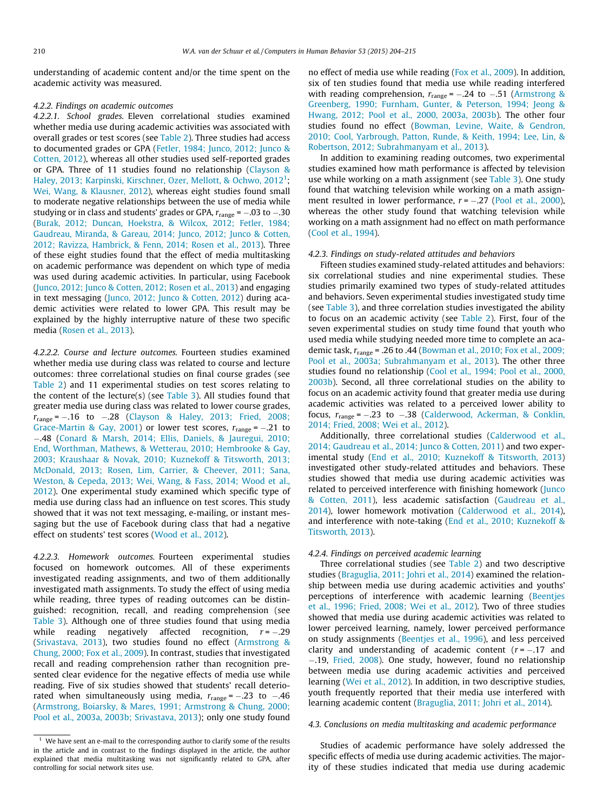understanding of academic content and/or the time spent on the academic activity was measured.

#### 4.2.2. Findings on academic outcomes

4.2.2.1. School grades. Eleven correlational studies examined whether media use during academic activities was associated with overall grades or test scores (see [Table 2](#page-5-0)). Three studies had access to documented grades or GPA [\(Fetler, 1984; Junco, 2012; Junco &](#page-10-0) [Cotten, 2012](#page-10-0)), whereas all other studies used self-reported grades or GPA. Three of 11 studies found no relationship [\(Clayson &](#page-10-0) [Haley, 2013; Karpinski, Kirschner, Ozer, Mellott, & Ochwo, 2012](#page-10-0)<sup>1</sup>; [Wei, Wang, & Klausner, 2012\)](#page-11-0), whereas eight studies found small to moderate negative relationships between the use of media while studying or in class and students' grades or GPA,  $r_\mathrm{range}$  =  $-.03$  to  $-.30$ ([Burak, 2012; Duncan, Hoekstra, & Wilcox, 2012; Fetler, 1984;](#page-10-0) [Gaudreau, Miranda, & Gareau, 2014; Junco, 2012; Junco & Cotten,](#page-10-0) [2012; Ravizza, Hambrick, & Fenn, 2014; Rosen et al., 2013\)](#page-10-0). Three of these eight studies found that the effect of media multitasking on academic performance was dependent on which type of media was used during academic activities. In particular, using Facebook ([Junco, 2012; Junco & Cotten, 2012; Rosen et al., 2013\)](#page-10-0) and engaging in text messaging [\(Junco, 2012; Junco & Cotten, 2012\)](#page-10-0) during academic activities were related to lower GPA. This result may be explained by the highly interruptive nature of these two specific media [\(Rosen et al., 2013\)](#page-11-0).

4.2.2.2. Course and lecture outcomes. Fourteen studies examined whether media use during class was related to course and lecture outcomes: three correlational studies on final course grades (see [Table 2\)](#page-5-0) and 11 experimental studies on test scores relating to the content of the lecture(s) (see [Table 3\)](#page-5-0). All studies found that greater media use during class was related to lower course grades,  $r_{\text{range}}$  =  $-0.16$  to  $-0.28$  ([Clayson & Haley, 2013; Fried, 2008;](#page-10-0) [Grace-Martin & Gay, 2001\)](#page-10-0) or lower test scores,  $r_\mathrm{range}$ = –.21 to -.48 [\(Conard & Marsh, 2014; Ellis, Daniels, & Jauregui, 2010;](#page-10-0) [End, Worthman, Mathews, & Wetterau, 2010; Hembrooke & Gay,](#page-10-0) [2003; Kraushaar & Novak, 2010; Kuznekoff & Titsworth, 2013;](#page-10-0) [McDonald, 2013; Rosen, Lim, Carrier, & Cheever, 2011; Sana,](#page-10-0) [Weston, & Cepeda, 2013; Wei, Wang, & Fass, 2014; Wood et al.,](#page-10-0) [2012\)](#page-10-0). One experimental study examined which specific type of media use during class had an influence on test scores. This study showed that it was not text messaging, e-mailing, or instant messaging but the use of Facebook during class that had a negative effect on students' test scores [\(Wood et al., 2012\)](#page-11-0).

4.2.2.3. Homework outcomes. Fourteen experimental studies focused on homework outcomes. All of these experiments investigated reading assignments, and two of them additionally investigated math assignments. To study the effect of using media while reading, three types of reading outcomes can be distinguished: recognition, recall, and reading comprehension (see [Table 3\)](#page-5-0). Although one of three studies found that using media while reading negatively affected recognition,  $r$ = $-.29$ ([Srivastava, 2013](#page-11-0)), two studies found no effect ([Armstrong &](#page-10-0) [Chung, 2000; Fox et al., 2009](#page-10-0)). In contrast, studies that investigated recall and reading comprehension rather than recognition presented clear evidence for the negative effects of media use while reading. Five of six studies showed that students' recall deteriorated when simultaneously using media,  $r_{\text{range}}$ = –.23 to –.46 ([Armstrong, Boiarsky, & Mares, 1991; Armstrong & Chung, 2000;](#page-10-0) [Pool et al., 2003a, 2003b; Srivastava, 2013\)](#page-10-0); only one study found no effect of media use while reading [\(Fox et al., 2009](#page-10-0)). In addition, six of ten studies found that media use while reading interfered with reading comprehension,  $r_{\text{range}} = -.24$  to  $-.51$  [\(Armstrong &](#page-10-0) [Greenberg, 1990; Furnham, Gunter, & Peterson, 1994; Jeong &](#page-10-0) [Hwang, 2012; Pool et al., 2000, 2003a, 2003b\)](#page-10-0). The other four studies found no effect [\(Bowman, Levine, Waite, & Gendron,](#page-10-0) [2010; Cool, Yarbrough, Patton, Runde, & Keith, 1994; Lee, Lin, &](#page-10-0) [Robertson, 2012; Subrahmanyam et al., 2013](#page-10-0)).

In addition to examining reading outcomes, two experimental studies examined how math performance is affected by television use while working on a math assignment (see [Table 3\)](#page-5-0). One study found that watching television while working on a math assignment resulted in lower performance,  $r = -.27$  ([Pool et al., 2000\)](#page-11-0), whereas the other study found that watching television while working on a math assignment had no effect on math performance ([Cool et al., 1994](#page-10-0)).

#### 4.2.3. Findings on study-related attitudes and behaviors

Fifteen studies examined study-related attitudes and behaviors: six correlational studies and nine experimental studies. These studies primarily examined two types of study-related attitudes and behaviors. Seven experimental studies investigated study time (see [Table 3\)](#page-5-0), and three correlation studies investigated the ability to focus on an academic activity (see [Table 2](#page-5-0)). First, four of the seven experimental studies on study time found that youth who used media while studying needed more time to complete an academic task,  $r_{\text{range}} = .26$  to  $.44$  ([Bowman et al., 2010; Fox et al., 2009;](#page-10-0) [Pool et al., 2003a; Subrahmanyam et al., 2013](#page-10-0)). The other three studies found no relationship [\(Cool et al., 1994; Pool et al., 2000,](#page-10-0) [2003b](#page-10-0)). Second, all three correlational studies on the ability to focus on an academic activity found that greater media use during academic activities was related to a perceived lower ability to focus,  $r_{\text{range}} = -.23$  to  $-.38$  [\(Calderwood, Ackerman, & Conklin,](#page-10-0) [2014; Fried, 2008; Wei et al., 2012](#page-10-0)).

Additionally, three correlational studies ([Calderwood et al.,](#page-10-0) [2014; Gaudreau et al., 2014; Junco & Cotten, 2011\)](#page-10-0) and two experimental study ([End et al., 2010; Kuznekoff & Titsworth, 2013\)](#page-10-0) investigated other study-related attitudes and behaviors. These studies showed that media use during academic activities was related to perceived interference with finishing homework ([Junco](#page-10-0) [& Cotten, 2011](#page-10-0)), less academic satisfaction [\(Gaudreau et al.,](#page-10-0) [2014\)](#page-10-0), lower homework motivation ([Calderwood et al., 2014\)](#page-10-0), and interference with note-taking ([End et al., 2010; Kuznekoff &](#page-10-0) [Titsworth, 2013\)](#page-10-0).

#### 4.2.4. Findings on perceived academic learning

Three correlational studies (see [Table 2](#page-5-0)) and two descriptive studies [\(Braguglia, 2011; Johri et al., 2014](#page-10-0)) examined the relationship between media use during academic activities and youths' perceptions of interference with academic learning ([Beentjes](#page-10-0) [et al., 1996; Fried, 2008; Wei et al., 2012\)](#page-10-0). Two of three studies showed that media use during academic activities was related to lower perceived learning, namely, lower perceived performance on study assignments ([Beentjes et al., 1996](#page-10-0)), and less perceived clarity and understanding of academic content  $(r = -.17)$  and -.19, [Fried, 2008](#page-10-0)). One study, however, found no relationship between media use during academic activities and perceived learning ([Wei et al., 2012\)](#page-11-0). In addition, in two descriptive studies, youth frequently reported that their media use interfered with learning academic content [\(Braguglia, 2011; Johri et al., 2014](#page-10-0)).

## 4.3. Conclusions on media multitasking and academic performance

Studies of academic performance have solely addressed the specific effects of media use during academic activities. The majority of these studies indicated that media use during academic

 $1$  We have sent an e-mail to the corresponding author to clarify some of the results in the article and in contrast to the findings displayed in the article, the author explained that media multitasking was not significantly related to GPA, after controlling for social network sites use.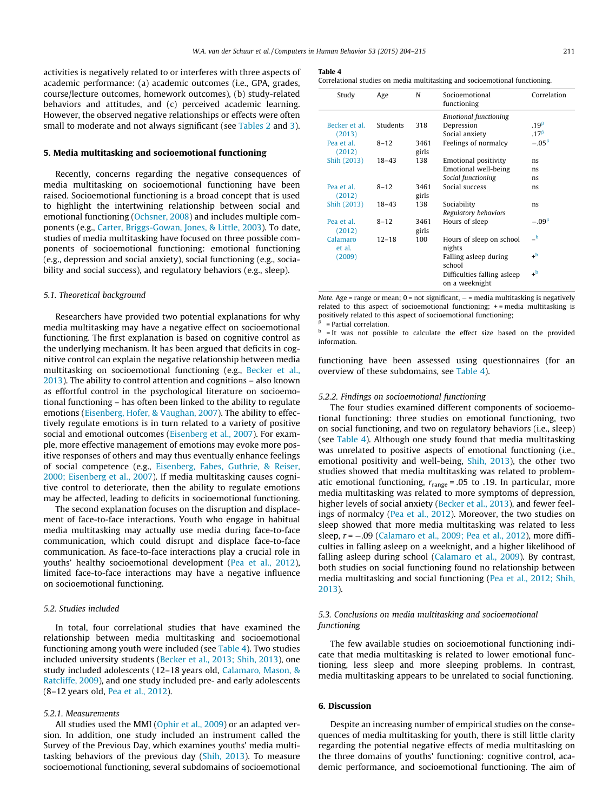activities is negatively related to or interferes with three aspects of academic performance: (a) academic outcomes (i.e., GPA, grades, course/lecture outcomes, homework outcomes), (b) study-related behaviors and attitudes, and (c) perceived academic learning. However, the observed negative relationships or effects were often small to moderate and not always significant (see [Tables 2](#page-5-0) and [3\)](#page-5-0).

#### 5. Media multitasking and socioemotional functioning

Recently, concerns regarding the negative consequences of media multitasking on socioemotional functioning have been raised. Socioemotional functioning is a broad concept that is used to highlight the intertwining relationship between social and emotional functioning [\(Ochsner, 2008](#page-11-0)) and includes multiple components (e.g., [Carter, Briggs-Gowan, Jones, & Little, 2003](#page-10-0)). To date, studies of media multitasking have focused on three possible components of socioemotional functioning: emotional functioning (e.g., depression and social anxiety), social functioning (e.g., sociability and social success), and regulatory behaviors (e.g., sleep).

#### 5.1. Theoretical background

Researchers have provided two potential explanations for why media multitasking may have a negative effect on socioemotional functioning. The first explanation is based on cognitive control as the underlying mechanism. It has been argued that deficits in cognitive control can explain the negative relationship between media multitasking on socioemotional functioning (e.g., [Becker et al.,](#page-10-0) [2013\)](#page-10-0). The ability to control attention and cognitions – also known as effortful control in the psychological literature on socioemotional functioning – has often been linked to the ability to regulate emotions ([Eisenberg, Hofer, & Vaughan, 2007](#page-10-0)). The ability to effectively regulate emotions is in turn related to a variety of positive social and emotional outcomes [\(Eisenberg et al., 2007](#page-10-0)). For example, more effective management of emotions may evoke more positive responses of others and may thus eventually enhance feelings of social competence (e.g., [Eisenberg, Fabes, Guthrie, & Reiser,](#page-10-0) [2000; Eisenberg et al., 2007](#page-10-0)). If media multitasking causes cognitive control to deteriorate, then the ability to regulate emotions may be affected, leading to deficits in socioemotional functioning.

The second explanation focuses on the disruption and displacement of face-to-face interactions. Youth who engage in habitual media multitasking may actually use media during face-to-face communication, which could disrupt and displace face-to-face communication. As face-to-face interactions play a crucial role in youths' healthy socioemotional development ([Pea et al., 2012\)](#page-11-0), limited face-to-face interactions may have a negative influence on socioemotional functioning.

# 5.2. Studies included

In total, four correlational studies that have examined the relationship between media multitasking and socioemotional functioning among youth were included (see Table 4). Two studies included university students ([Becker et al., 2013; Shih, 2013](#page-10-0)), one study included adolescents (12–18 years old, [Calamaro, Mason, &](#page-10-0) [Ratcliffe, 2009](#page-10-0)), and one study included pre- and early adolescents (8–12 years old, [Pea et al., 2012\)](#page-11-0).

## 5.2.1. Measurements

All studies used the MMI ([Ophir et al., 2009\)](#page-11-0) or an adapted version. In addition, one study included an instrument called the Survey of the Previous Day, which examines youths' media multitasking behaviors of the previous day [\(Shih, 2013\)](#page-11-0). To measure socioemotional functioning, several subdomains of socioemotional

#### Table 4

Correlational studies on media multitasking and socioemotional functioning.

| Study                | Age       | N             | Socioemotional<br>functioning                 | Correlation      |
|----------------------|-----------|---------------|-----------------------------------------------|------------------|
|                      |           |               | <b>Emotional functioning</b>                  |                  |
| Becker et al.        | Students  | 318           | Depression                                    | .19 <sup>B</sup> |
| (2013)               |           |               | Social anxiety                                | $.17^{\beta}$    |
| Pea et al.<br>(2012) | $8 - 12$  | 3461<br>girls | Feelings of normalcy                          | $-.05^{\beta}$   |
| Shih (2013)          | $18 - 43$ | 138           | Emotional positivity                          | ns               |
|                      |           |               | Emotional well-being                          | ns               |
|                      |           |               | Social functioning                            | ns               |
| Pea et al<br>(2012)  | $8 - 12$  | 3461<br>girls | Social success                                | ns               |
| Shih (2013)          | $18 - 43$ | 138           | Sociability<br>Regulatory behaviors           | ns               |
| Pea et al<br>(2012)  | $8 - 12$  | 3461<br>girls | Hours of sleep                                | $-.09\beta$      |
| Calamaro<br>et al    | $12 - 18$ | 100           | Hours of sleep on school<br>nights            | $\mathbf{b}$     |
| (2009)               |           |               | Falling asleep during<br>school               | $+^{\rm b}$      |
|                      |           |               | Difficulties falling asleep<br>on a weeknight | $+^{\rm b}$      |

Note. Age = range or mean; 0 = not significant, – = media multitasking is negatively related to this aspect of socioemotional functioning;  $+$  = media multitasking is positively related to this aspect of socioemotional functioning;

= Partial correlation.

b = It was not possible to calculate the effect size based on the provided information.

functioning have been assessed using questionnaires (for an overview of these subdomains, see Table 4).

#### 5.2.2. Findings on socioemotional functioning

The four studies examined different components of socioemotional functioning: three studies on emotional functioning, two on social functioning, and two on regulatory behaviors (i.e., sleep) (see Table 4). Although one study found that media multitasking was unrelated to positive aspects of emotional functioning (i.e., emotional positivity and well-being, [Shih, 2013\)](#page-11-0), the other two studies showed that media multitasking was related to problematic emotional functioning,  $r_{\text{range}} = .05$  to .19. In particular, more media multitasking was related to more symptoms of depression, higher levels of social anxiety ([Becker et al., 2013](#page-10-0)), and fewer feelings of normalcy [\(Pea et al., 2012\)](#page-11-0). Moreover, the two studies on sleep showed that more media multitasking was related to less sleep, r = -.09 ([Calamaro et al., 2009; Pea et al., 2012](#page-10-0)), more difficulties in falling asleep on a weeknight, and a higher likelihood of falling asleep during school [\(Calamaro et al., 2009](#page-10-0)). By contrast, both studies on social functioning found no relationship between media multitasking and social functioning [\(Pea et al., 2012; Shih,](#page-11-0) [2013](#page-11-0)).

#### 5.3. Conclusions on media multitasking and socioemotional functioning

The few available studies on socioemotional functioning indicate that media multitasking is related to lower emotional functioning, less sleep and more sleeping problems. In contrast, media multitasking appears to be unrelated to social functioning.

#### 6. Discussion

Despite an increasing number of empirical studies on the consequences of media multitasking for youth, there is still little clarity regarding the potential negative effects of media multitasking on the three domains of youths' functioning: cognitive control, academic performance, and socioemotional functioning. The aim of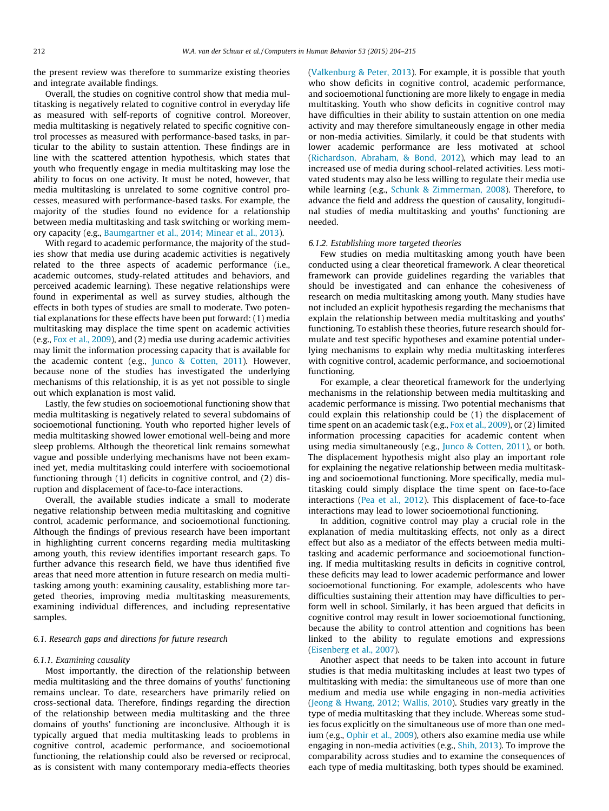the present review was therefore to summarize existing theories and integrate available findings.

Overall, the studies on cognitive control show that media multitasking is negatively related to cognitive control in everyday life as measured with self-reports of cognitive control. Moreover, media multitasking is negatively related to specific cognitive control processes as measured with performance-based tasks, in particular to the ability to sustain attention. These findings are in line with the scattered attention hypothesis, which states that youth who frequently engage in media multitasking may lose the ability to focus on one activity. It must be noted, however, that media multitasking is unrelated to some cognitive control processes, measured with performance-based tasks. For example, the majority of the studies found no evidence for a relationship between media multitasking and task switching or working memory capacity (e.g., [Baumgartner et al., 2014; Minear et al., 2013](#page-10-0)).

With regard to academic performance, the majority of the studies show that media use during academic activities is negatively related to the three aspects of academic performance (i.e., academic outcomes, study-related attitudes and behaviors, and perceived academic learning). These negative relationships were found in experimental as well as survey studies, although the effects in both types of studies are small to moderate. Two potential explanations for these effects have been put forward: (1) media multitasking may displace the time spent on academic activities (e.g., [Fox et al., 2009\)](#page-10-0), and (2) media use during academic activities may limit the information processing capacity that is available for the academic content (e.g., [Junco & Cotten, 2011](#page-10-0)). However, because none of the studies has investigated the underlying mechanisms of this relationship, it is as yet not possible to single out which explanation is most valid.

Lastly, the few studies on socioemotional functioning show that media multitasking is negatively related to several subdomains of socioemotional functioning. Youth who reported higher levels of media multitasking showed lower emotional well-being and more sleep problems. Although the theoretical link remains somewhat vague and possible underlying mechanisms have not been examined yet, media multitasking could interfere with socioemotional functioning through (1) deficits in cognitive control, and (2) disruption and displacement of face-to-face interactions.

Overall, the available studies indicate a small to moderate negative relationship between media multitasking and cognitive control, academic performance, and socioemotional functioning. Although the findings of previous research have been important in highlighting current concerns regarding media multitasking among youth, this review identifies important research gaps. To further advance this research field, we have thus identified five areas that need more attention in future research on media multitasking among youth: examining causality, establishing more targeted theories, improving media multitasking measurements, examining individual differences, and including representative samples.

#### 6.1. Research gaps and directions for future research

#### 6.1.1. Examining causality

Most importantly, the direction of the relationship between media multitasking and the three domains of youths' functioning remains unclear. To date, researchers have primarily relied on cross-sectional data. Therefore, findings regarding the direction of the relationship between media multitasking and the three domains of youths' functioning are inconclusive. Although it is typically argued that media multitasking leads to problems in cognitive control, academic performance, and socioemotional functioning, the relationship could also be reversed or reciprocal, as is consistent with many contemporary media-effects theories ([Valkenburg & Peter, 2013](#page-11-0)). For example, it is possible that youth who show deficits in cognitive control, academic performance, and socioemotional functioning are more likely to engage in media multitasking. Youth who show deficits in cognitive control may have difficulties in their ability to sustain attention on one media activity and may therefore simultaneously engage in other media or non-media activities. Similarly, it could be that students with lower academic performance are less motivated at school ([Richardson, Abraham, & Bond, 2012\)](#page-11-0), which may lead to an increased use of media during school-related activities. Less motivated students may also be less willing to regulate their media use while learning (e.g., [Schunk & Zimmerman, 2008](#page-11-0)). Therefore, to advance the field and address the question of causality, longitudinal studies of media multitasking and youths' functioning are needed.

#### 6.1.2. Establishing more targeted theories

Few studies on media multitasking among youth have been conducted using a clear theoretical framework. A clear theoretical framework can provide guidelines regarding the variables that should be investigated and can enhance the cohesiveness of research on media multitasking among youth. Many studies have not included an explicit hypothesis regarding the mechanisms that explain the relationship between media multitasking and youths' functioning. To establish these theories, future research should formulate and test specific hypotheses and examine potential underlying mechanisms to explain why media multitasking interferes with cognitive control, academic performance, and socioemotional functioning.

For example, a clear theoretical framework for the underlying mechanisms in the relationship between media multitasking and academic performance is missing. Two potential mechanisms that could explain this relationship could be (1) the displacement of time spent on an academic task (e.g., [Fox et al., 2009](#page-10-0)), or (2) limited information processing capacities for academic content when using media simultaneously (e.g., [Junco & Cotten, 2011\)](#page-10-0), or both. The displacement hypothesis might also play an important role for explaining the negative relationship between media multitasking and socioemotional functioning. More specifically, media multitasking could simply displace the time spent on face-to-face interactions [\(Pea et al., 2012\)](#page-11-0). This displacement of face-to-face interactions may lead to lower socioemotional functioning.

In addition, cognitive control may play a crucial role in the explanation of media multitasking effects, not only as a direct effect but also as a mediator of the effects between media multitasking and academic performance and socioemotional functioning. If media multitasking results in deficits in cognitive control, these deficits may lead to lower academic performance and lower socioemotional functioning. For example, adolescents who have difficulties sustaining their attention may have difficulties to perform well in school. Similarly, it has been argued that deficits in cognitive control may result in lower socioemotional functioning, because the ability to control attention and cognitions has been linked to the ability to regulate emotions and expressions ([Eisenberg et al., 2007](#page-10-0)).

Another aspect that needs to be taken into account in future studies is that media multitasking includes at least two types of multitasking with media: the simultaneous use of more than one medium and media use while engaging in non-media activities ([Jeong & Hwang, 2012; Wallis, 2010](#page-10-0)). Studies vary greatly in the type of media multitasking that they include. Whereas some studies focus explicitly on the simultaneous use of more than one medium (e.g., [Ophir et al., 2009\)](#page-11-0), others also examine media use while engaging in non-media activities (e.g., [Shih, 2013\)](#page-11-0). To improve the comparability across studies and to examine the consequences of each type of media multitasking, both types should be examined.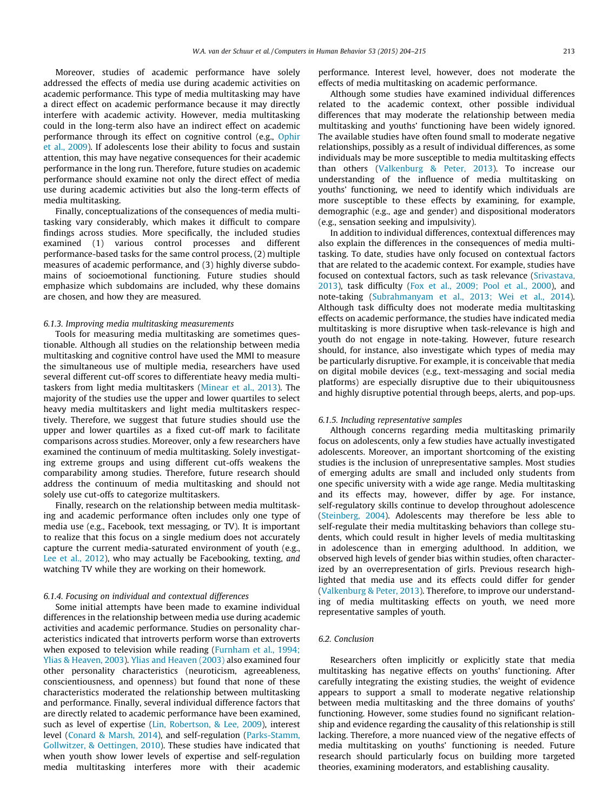Moreover, studies of academic performance have solely addressed the effects of media use during academic activities on academic performance. This type of media multitasking may have a direct effect on academic performance because it may directly interfere with academic activity. However, media multitasking could in the long-term also have an indirect effect on academic performance through its effect on cognitive control (e.g., [Ophir](#page-11-0) [et al., 2009\)](#page-11-0). If adolescents lose their ability to focus and sustain attention, this may have negative consequences for their academic performance in the long run. Therefore, future studies on academic performance should examine not only the direct effect of media use during academic activities but also the long-term effects of media multitasking.

Finally, conceptualizations of the consequences of media multitasking vary considerably, which makes it difficult to compare findings across studies. More specifically, the included studies examined (1) various control processes and different performance-based tasks for the same control process, (2) multiple measures of academic performance, and (3) highly diverse subdomains of socioemotional functioning. Future studies should emphasize which subdomains are included, why these domains are chosen, and how they are measured.

#### 6.1.3. Improving media multitasking measurements

Tools for measuring media multitasking are sometimes questionable. Although all studies on the relationship between media multitasking and cognitive control have used the MMI to measure the simultaneous use of multiple media, researchers have used several different cut-off scores to differentiate heavy media multitaskers from light media multitaskers ([Minear et al., 2013](#page-11-0)). The majority of the studies use the upper and lower quartiles to select heavy media multitaskers and light media multitaskers respectively. Therefore, we suggest that future studies should use the upper and lower quartiles as a fixed cut-off mark to facilitate comparisons across studies. Moreover, only a few researchers have examined the continuum of media multitasking. Solely investigating extreme groups and using different cut-offs weakens the comparability among studies. Therefore, future research should address the continuum of media multitasking and should not solely use cut-offs to categorize multitaskers.

Finally, research on the relationship between media multitasking and academic performance often includes only one type of media use (e.g., Facebook, text messaging, or TV). It is important to realize that this focus on a single medium does not accurately capture the current media-saturated environment of youth (e.g., [Lee et al., 2012](#page-11-0)), who may actually be Facebooking, texting, and watching TV while they are working on their homework.

#### 6.1.4. Focusing on individual and contextual differences

Some initial attempts have been made to examine individual differences in the relationship between media use during academic activities and academic performance. Studies on personality characteristics indicated that introverts perform worse than extroverts when exposed to television while reading [\(Furnham et al., 1994;](#page-10-0) [Ylias & Heaven, 2003](#page-10-0)). [Ylias and Heaven \(2003\)](#page-11-0) also examined four other personality characteristics (neuroticism, agreeableness, conscientiousness, and openness) but found that none of these characteristics moderated the relationship between multitasking and performance. Finally, several individual difference factors that are directly related to academic performance have been examined, such as level of expertise ([Lin, Robertson, & Lee, 2009](#page-11-0)), interest level ([Conard & Marsh, 2014](#page-10-0)), and self-regulation [\(Parks-Stamm,](#page-11-0) [Gollwitzer, & Oettingen, 2010\)](#page-11-0). These studies have indicated that when youth show lower levels of expertise and self-regulation media multitasking interferes more with their academic

performance. Interest level, however, does not moderate the effects of media multitasking on academic performance.

Although some studies have examined individual differences related to the academic context, other possible individual differences that may moderate the relationship between media multitasking and youths' functioning have been widely ignored. The available studies have often found small to moderate negative relationships, possibly as a result of individual differences, as some individuals may be more susceptible to media multitasking effects than others [\(Valkenburg & Peter, 2013](#page-11-0)). To increase our understanding of the influence of media multitasking on youths' functioning, we need to identify which individuals are more susceptible to these effects by examining, for example, demographic (e.g., age and gender) and dispositional moderators (e.g., sensation seeking and impulsivity).

In addition to individual differences, contextual differences may also explain the differences in the consequences of media multitasking. To date, studies have only focused on contextual factors that are related to the academic context. For example, studies have focused on contextual factors, such as task relevance [\(Srivastava,](#page-11-0) [2013](#page-11-0)), task difficulty [\(Fox et al., 2009; Pool et al., 2000](#page-10-0)), and note-taking [\(Subrahmanyam et al., 2013; Wei et al., 2014\)](#page-11-0). Although task difficulty does not moderate media multitasking effects on academic performance, the studies have indicated media multitasking is more disruptive when task-relevance is high and youth do not engage in note-taking. However, future research should, for instance, also investigate which types of media may be particularly disruptive. For example, it is conceivable that media on digital mobile devices (e.g., text-messaging and social media platforms) are especially disruptive due to their ubiquitousness and highly disruptive potential through beeps, alerts, and pop-ups.

#### 6.1.5. Including representative samples

Although concerns regarding media multitasking primarily focus on adolescents, only a few studies have actually investigated adolescents. Moreover, an important shortcoming of the existing studies is the inclusion of unrepresentative samples. Most studies of emerging adults are small and included only students from one specific university with a wide age range. Media multitasking and its effects may, however, differ by age. For instance, self-regulatory skills continue to develop throughout adolescence ([Steinberg, 2004\)](#page-11-0). Adolescents may therefore be less able to self-regulate their media multitasking behaviors than college students, which could result in higher levels of media multitasking in adolescence than in emerging adulthood. In addition, we observed high levels of gender bias within studies, often characterized by an overrepresentation of girls. Previous research highlighted that media use and its effects could differ for gender ([Valkenburg & Peter, 2013](#page-11-0)). Therefore, to improve our understanding of media multitasking effects on youth, we need more representative samples of youth.

#### 6.2. Conclusion

Researchers often implicitly or explicitly state that media multitasking has negative effects on youths' functioning. After carefully integrating the existing studies, the weight of evidence appears to support a small to moderate negative relationship between media multitasking and the three domains of youths' functioning. However, some studies found no significant relationship and evidence regarding the causality of this relationship is still lacking. Therefore, a more nuanced view of the negative effects of media multitasking on youths' functioning is needed. Future research should particularly focus on building more targeted theories, examining moderators, and establishing causality.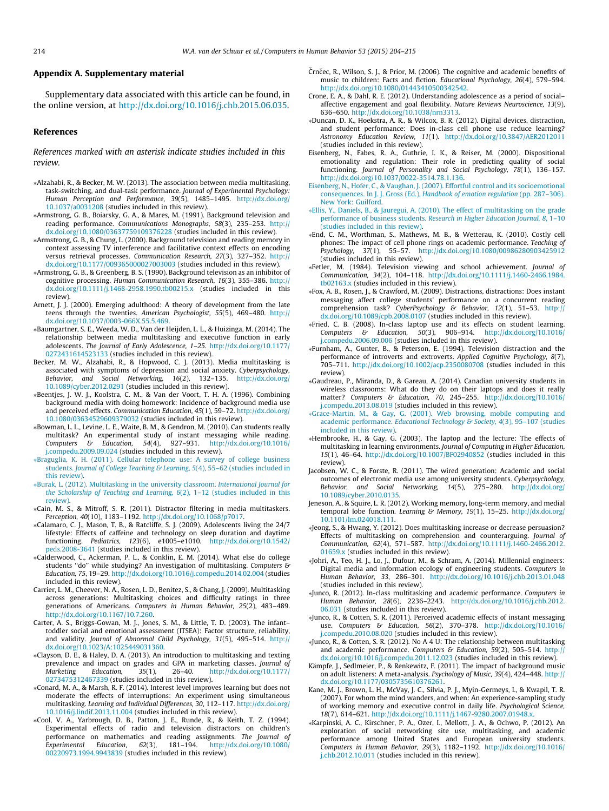# <span id="page-10-0"></span>Appendix A. Supplementary material

Supplementary data associated with this article can be found, in the online version, at [http://dx.doi.org/10.1016/j.chb.2015.06.035.](http://dx.doi.org/10.1016/j.chb.2015.06.035)

#### References

References marked with an asterisk indicate studies included in this review.

- ⁄Alzahabi, R., & Becker, M. W. (2013). The association between media multitasking, task-switching, and dual-task performance. Journal of Experimental Psychology: Human Perception and Performance, 39(5), 1485-1495. [http://dx.doi.org/](http://dx.doi.org/10.1037/a0031208) [10.1037/a0031208](http://dx.doi.org/10.1037/a0031208) (studies included in this review).
- ⁄Armstrong, G. B., Boiarsky, G. A., & Mares, M. (1991). Background television and reading performance. Communications Monographs, 58(3), 235–253. [http://](http://dx.doi.org/10.1080/03637759109376228) [dx.doi.org/10.1080/03637759109376228](http://dx.doi.org/10.1080/03637759109376228) (studies included in this review).
- ⁄Armstrong, G. B., & Chung, L. (2000). Background television and reading memory in context assessing TV interference and facilitative context effects on encoding versus retrieval processes. Communication Research, 27(3), 327-352. [http://](http://dx.doi.org/10.1177/009365000027003003) [dx.doi.org/10.1177/009365000027003003](http://dx.doi.org/10.1177/009365000027003003) (studies included in this review).
- ⁄Armstrong, G. B., & Greenberg, B. S. (1990). Background television as an inhibitor of cognitive processing. Human Communication Research, 16(3), 355–386. [http://](http://dx.doi.org/10.1111/j.1468-2958.1990.tb00215.x) [dx.doi.org/10.1111/j.1468-2958.1990.tb00215.x](http://dx.doi.org/10.1111/j.1468-2958.1990.tb00215.x) (studies included in this review).
- Arnett, J. J. (2000). Emerging adulthood: A theory of development from the late teens through the twenties. American Psychologist, 55(5), 469–480. [http://](http://dx.doi.org/10.1037/0003-066X.55.5.469) [dx.doi.org/10.1037/0003-066X.55.5.469.](http://dx.doi.org/10.1037/0003-066X.55.5.469)
- ⁄Baumgartner, S. E., Weeda, W. D., Van der Heijden, L. L., & Huizinga, M. (2014). The relationship between media multitasking and executive function in early adolescents. The Journal of Early Adolescence, 1–25. [http://dx.doi.org/10.1177/](http://dx.doi.org/10.1177/0272431614523133) [0272431614523133](http://dx.doi.org/10.1177/0272431614523133) (studies included in this review).
- Becker, M. W., Alzahabi, R., & Hopwood, C. J. (2013). Media multitasking is associated with symptoms of depression and social anxiety. Cyberpsychology,<br>Behavior. and Social Networking. 16(2). 132-135. http://dx.doi.org/ Behavior, and Social Networking, 16(2), 132-135. [10.1089/cyber.2012.0291](http://dx.doi.org/10.1089/cyber.2012.0291) (studies included in this review).
- ⁄Beentjes, J. W. J., Koolstra, C. M., & Van der Voort, T. H. A. (1996). Combining background media with doing homework: Incidence of background media use and perceived effects. Communication Education, 45(1), 59–72. [http://dx.doi.org/](http://dx.doi.org/10.1080/03634529609379032) [10.1080/03634529609379032](http://dx.doi.org/10.1080/03634529609379032) (studies included in this review).
- ⁄Bowman, L. L., Levine, L. E., Waite, B. M., & Gendron, M. (2010). Can students really multitask? An experimental study of instant messaging while reading. Computers & Education, 54(4), 927–931. [http://dx.doi.org/10.1016/](http://dx.doi.org/10.1016/j.compedu.2009.09.024) [j.compedu.2009.09.024](http://dx.doi.org/10.1016/j.compedu.2009.09.024) (studies included in this review).
- ⁄[Braguglia, K. H. \(2011\). Cellular telephone use: A survey of college business](http://refhub.elsevier.com/S0747-5632(15)00474-4/h0050) students. [Journal of College Teaching & Learning, 5](http://refhub.elsevier.com/S0747-5632(15)00474-4/h0050)(4), 55–62 (studies included in [this review\)](http://refhub.elsevier.com/S0747-5632(15)00474-4/h0050).
- ⁄[Burak, L. \(2012\). Multitasking in the university classroom.](http://refhub.elsevier.com/S0747-5632(15)00474-4/h0055) International Journal for [the Scholarship of Teaching and Learning, 6](http://refhub.elsevier.com/S0747-5632(15)00474-4/h0055)(2), 1–12 (studies included in this [review\).](http://refhub.elsevier.com/S0747-5632(15)00474-4/h0055)
- ⁄Cain, M. S., & Mitroff, S. R. (2011). Distractor filtering in media multitaskers. Perception, 40(10), 1183–1192. [http://dx.doi.org/10.1068/p7017.](http://dx.doi.org/10.1068/p7017)
- ⁄Calamaro, C. J., Mason, T. B., & Ratcliffe, S. J. (2009). Adolescents living the 24/7 lifestyle: Effects of caffeine and technology on sleep duration and daytime functioning. Pediatrics, 123(6), e1005–e1010. [http://dx.doi.org/10.1542/](http://dx.doi.org/10.1542/peds.2008-3641) [peds.2008-3641](http://dx.doi.org/10.1542/peds.2008-3641) (studies included in this review).
- ⁄Calderwood, C., Ackerman, P. L., & Conklin, E. M. (2014). What else do college students ''do'' while studying? An investigation of multitasking. Computers & Education, 75, 19–29. <http://dx.doi.org/10.1016/j.compedu.2014.02.004> (studies included in this review).
- Carrier, L. M., Cheever, N. A., Rosen, L. D., Benitez, S., & Chang, J. (2009). Multitasking across generations: Multitasking choices and difficulty ratings in three generations of Americans. Computers in Human Behavior, 25(2), 483–489. <http://dx.doi.org/10.1167/10.7.260>.
- Carter, A. S., Briggs-Gowan, M. J., Jones, S. M., & Little, T. D. (2003). The infant– toddler social and emotional assessment (ITSEA): Factor structure, reliability, and validity. Journal of Abnormal Child Psychology, 31(5), 495–514. [http://](http://dx.doi.org/10.1023/A:1025449031360) [dx.doi.org/10.1023/A:1025449031360.](http://dx.doi.org/10.1023/A:1025449031360)
- ⁄Clayson, D. E., & Haley, D. A. (2013). An introduction to multitasking and texting prevalence and impact on grades and GPA in marketing classes. Journal of Marketing Education, 35(1), 26–40. [http://dx.doi.org/10.1177/](http://dx.doi.org/10.1177/0273475312467339) [0273475312467339](http://dx.doi.org/10.1177/0273475312467339) (studies included in this review).
- ⁄Conard, M. A., & Marsh, R. F. (2014). Interest level improves learning but does not moderate the effects of interruptions: An experiment using simultaneous multitasking. Learning and Individual Differences, 30, 112–117. [http://dx.doi.org/](http://dx.doi.org/10.1016/j.lindif.2013.11.004) [10.1016/j.lindif.2013.11.004](http://dx.doi.org/10.1016/j.lindif.2013.11.004) (studies included in this review).
- ⁄Cool, V. A., Yarbrough, D. B., Patton, J. E., Runde, R., & Keith, T. Z. (1994). Experimental effects of radio and television distractors on children's performance on mathematics and reading assignments. The Journal of Experimental Education, 62(3), 181–194. [http://dx.doi.org/10.1080/](http://dx.doi.org/10.1080/00220973.1994.9943839) [00220973.1994.9943839](http://dx.doi.org/10.1080/00220973.1994.9943839) (studies included in this review).
- Crnc̆ec, R., Wilson, S. J., & Prior, M. (2006). The cognitive and academic benefits of music to children: Facts and fiction. Educational Psychology, 26(4), 579–594. [http://dx.doi.org/10.1080/01443410500342542.](http://dx.doi.org/10.1080/01443410500342542)
- Crone, E. A., & Dahl, R. E. (2012). Understanding adolescence as a period of social– affective engagement and goal flexibility. Nature Reviews Neuroscience, 13(9), 636–650. [http://dx.doi.org/10.1038/nrn3313.](http://dx.doi.org/10.1038/nrn3313)
- ⁄Duncan, D. K., Hoekstra, A. R., & Wilcox, B. R. (2012). Digital devices, distraction, and student performance: Does in-class cell phone use reduce learning? Astronomy Education Review, 11(1). <http://dx.doi.org/10.3847/AER2012011> (studies included in this review).
- Eisenberg, N., Fabes, R. A., Guthrie, I. K., & Reiser, M. (2000). Dispositional emotionality and regulation: Their role in predicting quality of social functioning. Journal of Personality and Social Psychology, 78(1), 136–157. <http://dx.doi.org/10.1037/0022-3514.78.1.136>.
- [Eisenberg, N., Hofer, C., & Vaughan, J. \(2007\). Effortful control and its socioemotional](http://refhub.elsevier.com/S0747-5632(15)00474-4/h0120) [consequences. In J. J. Gross \(Ed.\),](http://refhub.elsevier.com/S0747-5632(15)00474-4/h0120) Handbook of emotion regulation (pp. 287–306). [New York: Guilford.](http://refhub.elsevier.com/S0747-5632(15)00474-4/h0120)
- ⁄[Ellis, Y., Daniels, B., & Jauregui, A. \(2010\). The effect of multitasking on the grade](http://refhub.elsevier.com/S0747-5632(15)00474-4/h0125) performance of business students. [Research in Higher Education Journal, 8](http://refhub.elsevier.com/S0747-5632(15)00474-4/h0125), 1–10 [\(studies included in this review\).](http://refhub.elsevier.com/S0747-5632(15)00474-4/h0125)
- ⁄End, C. M., Worthman, S., Mathews, M. B., & Wetterau, K. (2010). Costly cell phones: The impact of cell phone rings on academic performance. Teaching of Psychology, 37(1), 55–57. <http://dx.doi.org/10.1080/00986280903425912> (studies included in this review).
- ⁄Fetler, M. (1984). Television viewing and school achievement. Journal of Communication, 34(2), 104–118. [http://dx.doi.org/10.1111/j.1460-2466.1984.](http://dx.doi.org/10.1111/j.1460-2466.1984.tb02163.x) [tb02163.x](http://dx.doi.org/10.1111/j.1460-2466.1984.tb02163.x) (studies included in this review).
- ⁄Fox, A. B., Rosen, J., & Crawford, M. (2009). Distractions, distractions: Does instant messaging affect college students' performance on a concurrent reading comprehension task? CyberPsychology & Behavior, 12(1), 51-53. [http://](http://dx.doi.org/10.1089/cpb.2008.0107) [dx.doi.org/10.1089/cpb.2008.0107](http://dx.doi.org/10.1089/cpb.2008.0107) (studies included in this review).
- ⁄Fried, C. B. (2008). In-class laptop use and its effects on student learning. Computers & Education, 50(3), 906–914. [http://dx.doi.org/10.1016/](http://dx.doi.org/10.1016/j.compedu.2006.09.006) [j.compedu.2006.09.006](http://dx.doi.org/10.1016/j.compedu.2006.09.006) (studies included in this review).
- ⁄Furnham, A., Gunter, B., & Peterson, E. (1994). Television distraction and the performance of introverts and extroverts. Applied Cognitive Psychology, 8(7), 705–711. <http://dx.doi.org/10.1002/acp.2350080708> (studies included in this review).
- ⁄Gaudreau, P., Miranda, D., & Gareau, A. (2014). Canadian university students in wireless classrooms: What do they do on their laptops and does it really matter? Computers & Education, 70, 245–255. [http://dx.doi.org/10.1016/](http://dx.doi.org/10.1016/j.compedu.2013.08.019) [j.compedu.2013.08.019](http://dx.doi.org/10.1016/j.compedu.2013.08.019) (studies included in this review).
- ⁄[Grace-Martin, M., & Gay, G. \(2001\). Web browsing, mobile computing and](http://refhub.elsevier.com/S0747-5632(15)00474-4/h0165) academic performance. [Educational Technology & Society, 4](http://refhub.elsevier.com/S0747-5632(15)00474-4/h0165)(3), 95–107 (studies [included in this review\)](http://refhub.elsevier.com/S0747-5632(15)00474-4/h0165).
- ⁄Hembrooke, H., & Gay, G. (2003). The laptop and the lecture: The effects of multitasking in learning environments. Journal of Computing in Higher Education, 15(1), 46–64. <http://dx.doi.org/10.1007/BF02940852> (studies included in this review).
- Jacobsen, W. C., & Forste, R. (2011). The wired generation: Academic and social outcomes of electronic media use among university students. Cyberpsychology, Behavior, and Social Networking,  $14(5)$ ,  $275-280$ . http://dx.doi.org/ Behavior, and Social Networking, [10.1089/cyber.2010.0135](http://dx.doi.org/10.1089/cyber.2010.0135).
- Jeneson, A., & Squire, L. R. (2012). Working memory, long-term memory, and medial<br>temporal lobe function. *Learning & Memory, 19*(1), 15–25. [http://dx.doi.org/](http://dx.doi.org/10.1101/lm.024018.111) [10.1101/lm.024018.111.](http://dx.doi.org/10.1101/lm.024018.111)
- ⁄Jeong, S., & Hwang, Y. (2012). Does multitasking increase or decrease persuasion? Effects of multitasking on comprehension and counterarguing. Journal of Communication, 62(4), 571–587. [http://dx.doi.org/10.1111/j.1460-2466.2012.](http://dx.doi.org/10.1111/j.1460-2466.2012.01659.x) [01659.x](http://dx.doi.org/10.1111/j.1460-2466.2012.01659.x) (studies included in this review).
- ⁄Johri, A., Teo, H. J., Lo, J., Dufour, M., & Schram, A. (2014). Millennial engineers: Digital media and information ecology of engineering students. Computers in Human Behavior, 33, 286–301. <http://dx.doi.org/10.1016/j.chb.2013.01.048> (studies included in this review).
- ⁄Junco, R. (2012). In-class multitasking and academic performance. Computers in Human Behavior, 28(6), 2236–2243. [http://dx.doi.org/10.1016/j.chb.2012.](http://dx.doi.org/10.1016/j.chb.2012.06.031) [06.031](http://dx.doi.org/10.1016/j.chb.2012.06.031) (studies included in this review).
- ⁄Junco, R., & Cotten, S. R. (2011). Perceived academic effects of instant messaging use. Computers & Education, 56(2), 370-378. [http://dx.doi.org/10.1016/](http://dx.doi.org/10.1016/j.compedu.2010.08.020) [j.compedu.2010.08.020](http://dx.doi.org/10.1016/j.compedu.2010.08.020) (studies included in this review).
- ⁄Junco, R., & Cotten, S. R. (2012). No A 4 U: The relationship between multitasking and academic performance. Computers & Education, 59(2), 505-514. [http://](http://dx.doi.org/10.1016/j.compedu.2011.12.023) [dx.doi.org/10.1016/j.compedu.2011.12.023](http://dx.doi.org/10.1016/j.compedu.2011.12.023) (studies included in this review).
- Kämpfe, J., Sedlmeier, P., & Renkewitz, F. (2011). The impact of background music on adult listeners: A meta-analysis. Psychology of Music, 39(4), 424–448. [http://](http://dx.doi.org/10.1177/0305735610376261) [dx.doi.org/10.1177/0305735610376261.](http://dx.doi.org/10.1177/0305735610376261)
- Kane, M. J., Brown, L. H., McVay, J. C., Silvia, P. J., Myin-Germeys, I., & Kwapil, T. R. (2007). For whom the mind wanders, and when: An experience-sampling study of working memory and executive control in daily life. Psychological Science, 18(7), 614–621. [http://dx.doi.org/10.1111/j.1467-9280.2007.01948.x.](http://dx.doi.org/10.1111/j.1467-9280.2007.01948.x)
- ⁄Karpinski, A. C., Kirschner, P. A., Ozer, I., Mellott, J. A., & Ochwo, P. (2012). An exploration of social networking site use, multitasking, and academic performance among United States and European university students. Computers in Human Behavior, 29(3), 1182–1192. [http://dx.doi.org/10.1016/](http://dx.doi.org/10.1016/j.chb.2012.10.011) [j.chb.2012.10.011](http://dx.doi.org/10.1016/j.chb.2012.10.011) (studies included in this review).